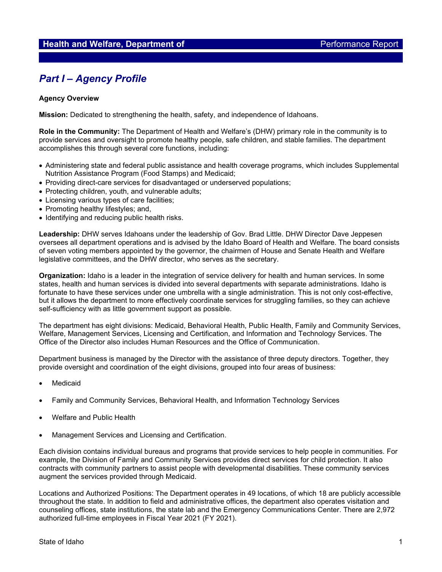# *Part I – Agency Profile*

#### **Agency Overview**

**Mission:** Dedicated to strengthening the health, safety, and independence of Idahoans.

**Role in the Community:** The Department of Health and Welfare's (DHW) primary role in the community is to provide services and oversight to promote healthy people, safe children, and stable families. The department accomplishes this through several core functions, including:

- Administering state and federal public assistance and health coverage programs, which includes Supplemental Nutrition Assistance Program (Food Stamps) and Medicaid;
- Providing direct-care services for disadvantaged or underserved populations;
- Protecting children, youth, and vulnerable adults;
- Licensing various types of care facilities;
- Promoting healthy lifestyles; and,
- Identifying and reducing public health risks.

**Leadership:** DHW serves Idahoans under the leadership of Gov. Brad Little. DHW Director Dave Jeppesen oversees all department operations and is advised by the Idaho Board of Health and Welfare. The board consists of seven voting members appointed by the governor, the chairmen of House and Senate Health and Welfare legislative committees, and the DHW director, who serves as the secretary.

**Organization:** Idaho is a leader in the integration of service delivery for health and human services. In some states, health and human services is divided into several departments with separate administrations. Idaho is fortunate to have these services under one umbrella with a single administration. This is not only cost-effective, but it allows the department to more effectively coordinate services for struggling families, so they can achieve self-sufficiency with as little government support as possible.

The department has eight divisions: Medicaid, Behavioral Health, Public Health, Family and Community Services, Welfare, Management Services, Licensing and Certification, and Information and Technology Services. The Office of the Director also includes Human Resources and the Office of Communication.

Department business is managed by the Director with the assistance of three deputy directors. Together, they provide oversight and coordination of the eight divisions, grouped into four areas of business:

- **Medicaid**
- Family and Community Services, Behavioral Health, and Information Technology Services
- Welfare and Public Health
- Management Services and Licensing and Certification.

Each division contains individual bureaus and programs that provide services to help people in communities. For example, the Division of Family and Community Services provides direct services for child protection. It also contracts with community partners to assist people with developmental disabilities. These community services augment the services provided through Medicaid.

Locations and Authorized Positions: The Department operates in 49 locations, of which 18 are publicly accessible throughout the state. In addition to field and administrative offices, the department also operates visitation and counseling offices, state institutions, the state lab and the Emergency Communications Center. There are 2,972 authorized full-time employees in Fiscal Year 2021 (FY 2021).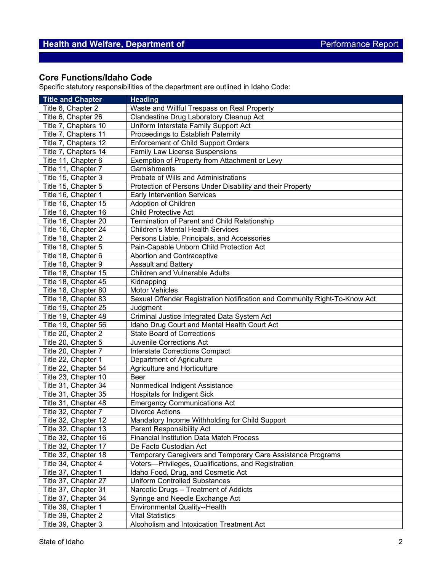## **Core Functions/Idaho Code**

Specific statutory responsibilities of the department are outlined in Idaho Code:

| <b>Title and Chapter</b> | <b>Heading</b>                                                            |
|--------------------------|---------------------------------------------------------------------------|
| Title 6, Chapter 2       | Waste and Willful Trespass on Real Property                               |
| Title 6, Chapter 26      | Clandestine Drug Laboratory Cleanup Act                                   |
| Title 7, Chapters 10     | Uniform Interstate Family Support Act                                     |
| Title 7, Chapters 11     | Proceedings to Establish Paternity                                        |
| Title 7, Chapters 12     | <b>Enforcement of Child Support Orders</b>                                |
| Title 7, Chapters 14     | <b>Family Law License Suspensions</b>                                     |
| Title 11, Chapter 6      | Exemption of Property from Attachment or Levy                             |
| Title 11, Chapter 7      | Garnishments                                                              |
| Title 15, Chapter 3      | Probate of Wills and Administrations                                      |
| Title 15, Chapter 5      | Protection of Persons Under Disability and their Property                 |
| Title 16, Chapter 1      | <b>Early Intervention Services</b>                                        |
| Title 16, Chapter 15     | Adoption of Children                                                      |
| Title 16, Chapter 16     | <b>Child Protective Act</b>                                               |
| Title 16, Chapter 20     | Termination of Parent and Child Relationship                              |
| Title 16, Chapter 24     | <b>Children's Mental Health Services</b>                                  |
| Title 18, Chapter 2      | Persons Liable, Principals, and Accessories                               |
| Title 18, Chapter 5      | Pain-Capable Unborn Child Protection Act                                  |
| Title 18, Chapter 6      | Abortion and Contraceptive                                                |
| Title 18, Chapter 9      | Assault and Battery                                                       |
| Title 18, Chapter 15     | Children and Vulnerable Adults                                            |
| Title 18, Chapter 45     | Kidnapping                                                                |
| Title 18, Chapter 80     | <b>Motor Vehicles</b>                                                     |
| Title 18, Chapter 83     | Sexual Offender Registration Notification and Community Right-To-Know Act |
| Title 19, Chapter 25     | Judgment                                                                  |
| Title 19, Chapter 48     | Criminal Justice Integrated Data System Act                               |
| Title 19, Chapter 56     | Idaho Drug Court and Mental Health Court Act                              |
| Title 20, Chapter 2      | <b>State Board of Corrections</b>                                         |
| Title 20, Chapter 5      | Juvenile Corrections Act                                                  |
| Title 20, Chapter 7      | <b>Interstate Corrections Compact</b>                                     |
| Title 22, Chapter 1      | Department of Agriculture                                                 |
| Title 22, Chapter 54     | Agriculture and Horticulture                                              |
| Title 23, Chapter 10     | <b>Beer</b>                                                               |
| Title 31, Chapter 34     | Nonmedical Indigent Assistance                                            |
| Title 31, Chapter 35     | <b>Hospitals for Indigent Sick</b>                                        |
| Title 31, Chapter 48     | <b>Emergency Communications Act</b>                                       |
| Title 32, Chapter 7      | <b>Divorce Actions</b>                                                    |
| Title 32, Chapter 12     | Mandatory Income Withholding for Child Support                            |
| Title 32. Chapter 13     | Parent Responsibility Act                                                 |
| Title 32, Chapter 16     | <b>Financial Institution Data Match Process</b>                           |
| Title 32, Chapter 17     | De Facto Custodian Act                                                    |
| Title 32, Chapter 18     | Temporary Caregivers and Temporary Care Assistance Programs               |
| Title 34, Chapter 4      | Voters-Privileges, Qualifications, and Registration                       |
| Title 37, Chapter 1      | Idaho Food, Drug, and Cosmetic Act                                        |
| Title 37, Chapter 27     | <b>Uniform Controlled Substances</b>                                      |
| Title 37, Chapter 31     | Narcotic Drugs - Treatment of Addicts                                     |
| Title 37, Chapter 34     | Syringe and Needle Exchange Act                                           |
| Title 39, Chapter 1      | Environmental Quality--Health                                             |
| Title 39, Chapter 2      | <b>Vital Statistics</b>                                                   |
| Title 39, Chapter 3      | Alcoholism and Intoxication Treatment Act                                 |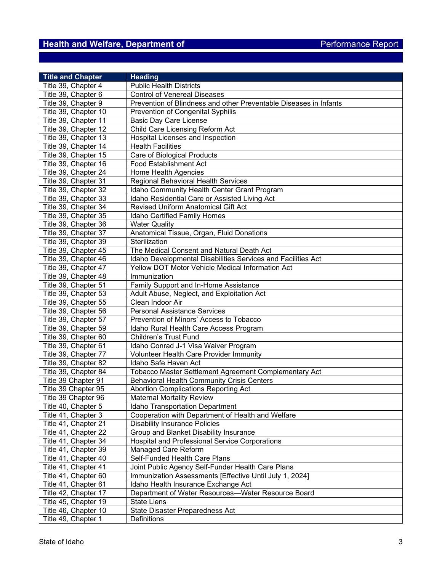# **Health and Welfare, Department of Access 2008 Performance Report**

| <b>Title and Chapter</b> | <b>Heading</b>                                                    |
|--------------------------|-------------------------------------------------------------------|
| Title 39, Chapter 4      | <b>Public Health Districts</b>                                    |
| Title 39, Chapter 6      | <b>Control of Venereal Diseases</b>                               |
| Title 39, Chapter 9      | Prevention of Blindness and other Preventable Diseases in Infants |
| Title 39, Chapter 10     | <b>Prevention of Congenital Syphilis</b>                          |
| Title 39, Chapter 11     | <b>Basic Day Care License</b>                                     |
| Title 39, Chapter 12     | Child Care Licensing Reform Act                                   |
| Title 39, Chapter 13     | Hospital Licenses and Inspection                                  |
| Title 39, Chapter 14     | <b>Health Facilities</b>                                          |
| Title 39, Chapter 15     | Care of Biological Products                                       |
| Title 39, Chapter 16     | <b>Food Establishment Act</b>                                     |
| Title 39, Chapter 24     | Home Health Agencies                                              |
| Title 39, Chapter 31     | Regional Behavioral Health Services                               |
| Title 39, Chapter 32     | Idaho Community Health Center Grant Program                       |
| Title 39, Chapter 33     | Idaho Residential Care or Assisted Living Act                     |
| Title 39, Chapter 34     | Revised Uniform Anatomical Gift Act                               |
| Title 39, Chapter 35     | Idaho Certified Family Homes                                      |
| Title 39, Chapter 36     | <b>Water Quality</b>                                              |
| Title 39, Chapter 37     | Anatomical Tissue, Organ, Fluid Donations                         |
| Title 39, Chapter 39     | Sterilization                                                     |
| Title 39, Chapter 45     | The Medical Consent and Natural Death Act                         |
| Title 39, Chapter 46     | Idaho Developmental Disabilities Services and Facilities Act      |
| Title 39, Chapter 47     | Yellow DOT Motor Vehicle Medical Information Act                  |
| Title 39, Chapter 48     | Immunization                                                      |
| Title 39, Chapter 51     | Family Support and In-Home Assistance                             |
| Title 39, Chapter 53     | Adult Abuse, Neglect, and Exploitation Act                        |
| Title 39, Chapter 55     | Clean Indoor Air                                                  |
| Title 39, Chapter 56     | <b>Personal Assistance Services</b>                               |
| Title 39, Chapter 57     | Prevention of Minors' Access to Tobacco                           |
| Title 39, Chapter 59     | Idaho Rural Health Care Access Program                            |
| Title 39, Chapter 60     | <b>Children's Trust Fund</b>                                      |
| Title 39, Chapter 61     | Idaho Conrad J-1 Visa Waiver Program                              |
| Title 39, Chapter 77     | <b>Volunteer Health Care Provider Immunity</b>                    |
| Title 39, Chapter 82     | Idaho Safe Haven Act                                              |
| Title 39, Chapter 84     | Tobacco Master Settlement Agreement Complementary Act             |
| Title 39 Chapter 91      | <b>Behavioral Health Community Crisis Centers</b>                 |
| Title 39 Chapter 95      | Abortion Complications Reporting Act                              |
| Title 39 Chapter 96      | <b>Maternal Mortality Review</b>                                  |
| Title 40, Chapter 5      | Idaho Transportation Department                                   |
| Title 41, Chapter 3      | Cooperation with Department of Health and Welfare                 |
| Title 41, Chapter 21     | <b>Disability Insurance Policies</b>                              |
| Title 41, Chapter 22     | Group and Blanket Disability Insurance                            |
| Title 41, Chapter 34     | <b>Hospital and Professional Service Corporations</b>             |
| Title 41, Chapter 39     | Managed Care Reform                                               |
| Title 41, Chapter 40     | Self-Funded Health Care Plans                                     |
| Title 41, Chapter 41     | Joint Public Agency Self-Funder Health Care Plans                 |
| Title 41, Chapter 60     | Immunization Assessments [Effective Until July 1, 2024]           |
| Title 41, Chapter 61     | Idaho Health Insurance Exchange Act                               |
| Title 42, Chapter 17     | Department of Water Resources-Water Resource Board                |
| Title 45, Chapter 19     | <b>State Liens</b>                                                |
| Title 46, Chapter 10     | State Disaster Preparedness Act                                   |
| Title 49, Chapter 1      | Definitions                                                       |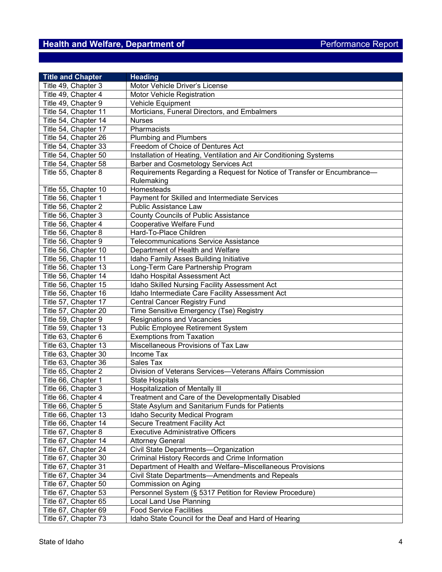# **Health and Welfare, Department of Access 2008 Performance Report**

| <b>Title and Chapter</b> | <b>Heading</b>                                                          |
|--------------------------|-------------------------------------------------------------------------|
| Title 49, Chapter 3      | Motor Vehicle Driver's License                                          |
| Title 49, Chapter 4      | Motor Vehicle Registration                                              |
| Title 49, Chapter 9      | Vehicle Equipment                                                       |
| Title 54, Chapter 11     | Morticians, Funeral Directors, and Embalmers                            |
| Title 54, Chapter 14     | <b>Nurses</b>                                                           |
| Title 54, Chapter 17     | Pharmacists                                                             |
| Title 54, Chapter 26     | <b>Plumbing and Plumbers</b>                                            |
| Title 54, Chapter 33     | Freedom of Choice of Dentures Act                                       |
| Title 54, Chapter 50     | Installation of Heating, Ventilation and Air Conditioning Systems       |
| Title 54, Chapter 58     | Barber and Cosmetology Services Act                                     |
| Title 55, Chapter 8      | Requirements Regarding a Request for Notice of Transfer or Encumbrance- |
|                          | Rulemaking                                                              |
| Title 55, Chapter 10     | Homesteads                                                              |
| Title 56, Chapter 1      | Payment for Skilled and Intermediate Services                           |
| Title 56, Chapter 2      | <b>Public Assistance Law</b>                                            |
| Title 56, Chapter 3      | <b>County Councils of Public Assistance</b>                             |
| Title 56, Chapter 4      | Cooperative Welfare Fund                                                |
| Title 56, Chapter 8      | Hard-To-Place Children                                                  |
| Title 56, Chapter 9      | <b>Telecommunications Service Assistance</b>                            |
| Title 56, Chapter 10     | Department of Health and Welfare                                        |
| Title 56, Chapter 11     | Idaho Family Asses Building Initiative                                  |
| Title 56, Chapter 13     | Long-Term Care Partnership Program                                      |
| Title 56, Chapter 14     | Idaho Hospital Assessment Act                                           |
| Title 56, Chapter 15     | Idaho Skilled Nursing Facility Assessment Act                           |
| Title 56, Chapter 16     | Idaho Intermediate Care Facility Assessment Act                         |
| Title 57, Chapter 17     | <b>Central Cancer Registry Fund</b>                                     |
| Title 57, Chapter 20     | Time Sensitive Emergency (Tse) Registry                                 |
| Title 59, Chapter 9      | Resignations and Vacancies                                              |
| Title 59, Chapter 13     | Public Employee Retirement System                                       |
| Title 63, Chapter 6      | <b>Exemptions from Taxation</b>                                         |
| Title 63, Chapter 13     | Miscellaneous Provisions of Tax Law                                     |
| Title 63, Chapter 30     | Income Tax                                                              |
| Title 63, Chapter 36     | Sales Tax                                                               |
| Title 65, Chapter 2      | Division of Veterans Services-Veterans Affairs Commission               |
| Title 66, Chapter 1      | <b>State Hospitals</b>                                                  |
| Title 66, Chapter 3      | <b>Hospitalization of Mentally III</b>                                  |
| Title 66, Chapter 4      | Treatment and Care of the Developmentally Disabled                      |
| Title 66, Chapter 5      | State Asylum and Sanitarium Funds for Patients                          |
| Title 66, Chapter 13     | Idaho Security Medical Program                                          |
| Title 66, Chapter 14     | <b>Secure Treatment Facility Act</b>                                    |
| Title 67, Chapter 8      | <b>Executive Administrative Officers</b>                                |
| Title 67, Chapter 14     | <b>Attorney General</b>                                                 |
| Title 67, Chapter 24     | Civil State Departments-Organization                                    |
| Title 67, Chapter 30     | Criminal History Records and Crime Information                          |
| Title 67, Chapter 31     | Department of Health and Welfare-Miscellaneous Provisions               |
| Title 67, Chapter 34     | Civil State Departments-Amendments and Repeals                          |
| Title 67, Chapter 50     | Commission on Aging                                                     |
| Title 67, Chapter 53     | Personnel System (§ 5317 Petition for Review Procedure)                 |
| Title 67, Chapter 65     | Local Land Use Planning                                                 |
| Title 67, Chapter 69     | <b>Food Service Facilities</b>                                          |
| Title 67, Chapter 73     | Idaho State Council for the Deaf and Hard of Hearing                    |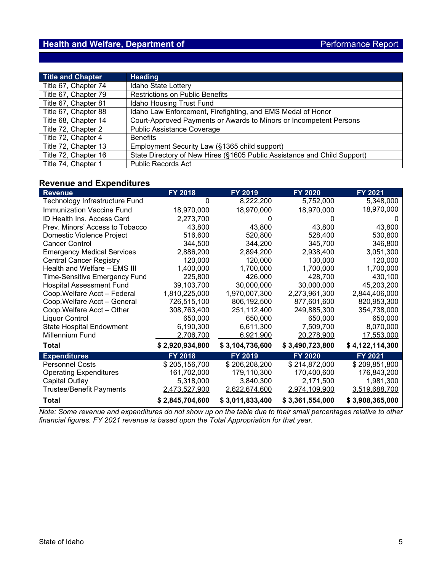| <b>Title and Chapter</b> | <b>Heading</b>                                                           |
|--------------------------|--------------------------------------------------------------------------|
| Title 67, Chapter 74     | Idaho State Lottery                                                      |
| Title 67, Chapter 79     | <b>Restrictions on Public Benefits</b>                                   |
| Title 67, Chapter 81     | Idaho Housing Trust Fund                                                 |
| Title 67, Chapter 88     | Idaho Law Enforcement, Firefighting, and EMS Medal of Honor              |
| Title 68, Chapter 14     | Court-Approved Payments or Awards to Minors or Incompetent Persons       |
| Title 72, Chapter 2      | Public Assistance Coverage                                               |
| Title 72, Chapter 4      | <b>Benefits</b>                                                          |
| Title 72, Chapter 13     | Employment Security Law (§1365 child support)                            |
| Title 72, Chapter 16     | State Directory of New Hires (§1605 Public Assistance and Child Support) |
| Title 74, Chapter 1      | <b>Public Records Act</b>                                                |

#### **Revenue and Expenditures**

| <b>Revenue</b>                       | <b>FY 2018</b>  | FY 2019         | <b>FY 2020</b>  | <b>FY 2021</b>  |
|--------------------------------------|-----------------|-----------------|-----------------|-----------------|
| Technology Infrastructure Fund       | 0               | 8,222,200       | 5,752,000       | 5,348,000       |
| Immunization Vaccine Fund            | 18,970,000      | 18,970,000      | 18,970,000      | 18,970,000      |
| ID Health Ins. Access Card           | 2,273,700       |                 |                 | $\mathbf{I}$    |
| Prev. Minors' Access to Tobacco      | 43,800          | 43,800          | 43,800          | 43,800          |
| Domestic Violence Project            | 516,600         | 520,800         | 528,400         | 530,800         |
| <b>Cancer Control</b>                | 344,500         | 344,200         | 345,700         | 346,800         |
| <b>Emergency Medical Services</b>    | 2,886,200       | 2,894,200       | 2,938,400       | 3,051,300       |
| <b>Central Cancer Registry</b>       | 120,000         | 120,000         | 130,000         | 120,000         |
| Health and Welfare - EMS III         | 1,400,000       | 1,700,000       | 1,700,000       | 1,700,000       |
| <b>Time-Sensitive Emergency Fund</b> | 225,800         | 426,000         | 428,700         | 430,100         |
| <b>Hospital Assessment Fund</b>      | 39,103,700      | 30,000,000      | 30,000,000      | 45,203,200      |
| Coop. Welfare Acct - Federal         | 1,810,225,000   | 1,970,007,300   | 2,273,961,300   | 2,844,406,000   |
| Coop. Welfare Acct - General         | 726,515,100     | 806,192,500     | 877,601,600     | 820,953,300     |
| Coop. Welfare Acct - Other           | 308,763,400     | 251,112,400     | 249,885,300     | 354,738,000     |
| <b>Liquor Control</b>                | 650,000         | 650,000         | 650,000         | 650,000         |
| <b>State Hospital Endowment</b>      | 6,190,300       | 6,611,300       | 7,509,700       | 8,070,000       |
| Millennium Fund                      | 2,706,700       | 6,921,900       | 20,278,900      | 17,553,000      |
| Total                                | \$2,920,934,800 | \$3,104,736,600 | \$3,490,723,800 | \$4,122,114,300 |
| <b>Expenditures</b>                  | <b>FY 2018</b>  | FY 2019         | <b>FY 2020</b>  | FY 2021         |
| <b>Personnel Costs</b>               | \$205,156,700   | \$206,208,200   | \$214,872,000   | \$209,851,800   |
| <b>Operating Expenditures</b>        | 161,702,000     | 179,110,300     | 170,400,600     | 176,843,200     |
| Capital Outlay                       | 5,318,000       | 3,840,300       | 2,171,500       | 1,981,300       |
| <b>Trustee/Benefit Payments</b>      | 2,473,527,900   | 2,622,674,600   | 2,974,109,900   | 3,519,688,700   |
| <b>Total</b>                         | \$2,845,704,600 | \$3,011,833,400 | \$3,361,554,000 | \$3,908,365,000 |

*Note: Some revenue and expenditures do not show up on the table due to their small percentages relative to other financial figures. FY 2021 revenue is based upon the Total Appropriation for that year.*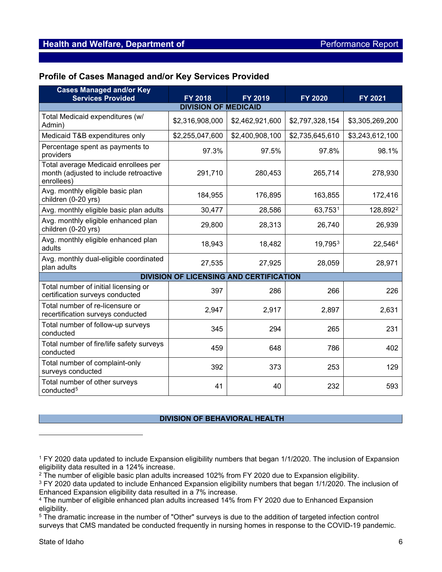## **Profile of Cases Managed and/or Key Services Provided**

| <b>Cases Managed and/or Key</b>                                                              |                                                |                 |                 |                      |  |  |
|----------------------------------------------------------------------------------------------|------------------------------------------------|-----------------|-----------------|----------------------|--|--|
| <b>Services Provided</b>                                                                     | <b>FY 2018</b>                                 | <b>FY 2019</b>  | <b>FY 2020</b>  | FY 2021              |  |  |
| <b>DIVISION OF MEDICAID</b>                                                                  |                                                |                 |                 |                      |  |  |
| Total Medicaid expenditures (w/<br>Admin)                                                    | \$2,316,908,000                                | \$2,462,921,600 | \$2,797,328,154 | \$3,305,269,200      |  |  |
| Medicaid T&B expenditures only                                                               | \$2,255,047,600                                | \$2,400,908,100 | \$2,735,645,610 | \$3,243,612,100      |  |  |
| Percentage spent as payments to<br>providers                                                 | 97.3%                                          | 97.5%           | 97.8%           | 98.1%                |  |  |
| Total average Medicaid enrollees per<br>month (adjusted to include retroactive<br>enrollees) | 291,710                                        | 280,453         | 265,714         | 278,930              |  |  |
| Avg. monthly eligible basic plan<br>children (0-20 yrs)                                      | 184,955                                        | 176,895         | 163,855         | 172,416              |  |  |
| Avg. monthly eligible basic plan adults                                                      | 30,477                                         | 28,586          | 63,7531         | 128,892 <sup>2</sup> |  |  |
| Avg. monthly eligible enhanced plan<br>children (0-20 yrs)                                   | 29,800                                         | 28,313          | 26,740          | 26,939               |  |  |
| Avg. monthly eligible enhanced plan<br>adults                                                | 18,943                                         | 18,482          | 19,7953         | 22,5464              |  |  |
| Avg. monthly dual-eligible coordinated<br>plan adults                                        | 27,535                                         | 27,925          | 28,059          | 28,971               |  |  |
|                                                                                              | <b>DIVISION OF LICENSING AND CERTIFICATION</b> |                 |                 |                      |  |  |
| Total number of initial licensing or<br>certification surveys conducted                      | 397                                            | 286             | 266             | 226                  |  |  |
| Total number of re-licensure or<br>recertification surveys conducted                         | 2,947                                          | 2,917           | 2,897           | 2,631                |  |  |
| Total number of follow-up surveys<br>conducted                                               | 345                                            | 294             | 265             | 231                  |  |  |
| Total number of fire/life safety surveys<br>conducted                                        | 459                                            | 648             | 786             | 402                  |  |  |
| Total number of complaint-only<br>surveys conducted                                          | 392                                            | 373             | 253             | 129                  |  |  |
| Total number of other surveys<br>conducted <sup>5</sup>                                      | 41                                             | 40              | 232             | 593                  |  |  |

#### **DIVISION OF BEHAVIORAL HEALTH**

<span id="page-5-0"></span><sup>1</sup> FY 2020 data updated to include Expansion eligibility numbers that began 1/1/2020. The inclusion of Expansion eligibility data resulted in a 124% increase.

<span id="page-5-1"></span> $2$  The number of eligible basic plan adults increased 102% from FY 2020 due to Expansion eligibility.

<span id="page-5-2"></span><sup>&</sup>lt;sup>3</sup> FY 2020 data updated to include Enhanced Expansion eligibility numbers that began 1/1/2020. The inclusion of Enhanced Expansion eligibility data resulted in a 7% increase.

<span id="page-5-3"></span><sup>4</sup> The number of eligible enhanced plan adults increased 14% from FY 2020 due to Enhanced Expansion eligibility.

<span id="page-5-4"></span><sup>5</sup> The dramatic increase in the number of "Other" surveys is due to the addition of targeted infection control surveys that CMS mandated be conducted frequently in nursing homes in response to the COVID-19 pandemic.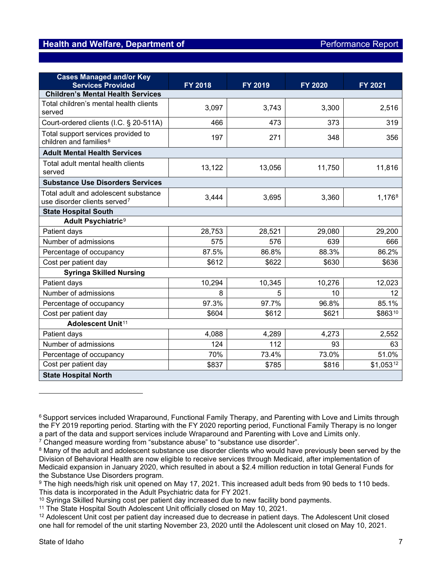| <b>Cases Managed and/or Key</b><br><b>Services Provided</b>                      | <b>FY 2018</b> | FY 2019 | <b>FY 2020</b> | FY 2021   |  |
|----------------------------------------------------------------------------------|----------------|---------|----------------|-----------|--|
| <b>Children's Mental Health Services</b>                                         |                |         |                |           |  |
| Total children's mental health clients<br>served                                 | 3,097          | 3,743   | 3,300          | 2,516     |  |
| Court-ordered clients (I.C. § 20-511A)                                           | 466            | 473     | 373            | 319       |  |
| Total support services provided to<br>children and families <sup>6</sup>         | 197            | 271     | 348            | 356       |  |
| <b>Adult Mental Health Services</b>                                              |                |         |                |           |  |
| Total adult mental health clients<br>served                                      | 13,122         | 13,056  | 11,750         | 11,816    |  |
| <b>Substance Use Disorders Services</b>                                          |                |         |                |           |  |
| Total adult and adolescent substance<br>use disorder clients served <sup>7</sup> | 3,444          | 3,695   | 3,360          | 1,1768    |  |
| <b>State Hospital South</b>                                                      |                |         |                |           |  |
| Adult Psychiatric <sup>9</sup>                                                   |                |         |                |           |  |
| Patient days                                                                     | 28,753         | 28,521  | 29,080         | 29,200    |  |
| Number of admissions                                                             | 575            | 576     | 639            | 666       |  |
| Percentage of occupancy                                                          | 87.5%          | 86.8%   | 88.3%          | 86.2%     |  |
| Cost per patient day                                                             | \$612          | \$622   | \$630          | \$636     |  |
| <b>Syringa Skilled Nursing</b>                                                   |                |         |                |           |  |
| Patient days                                                                     | 10,294         | 10,345  | 10,276         | 12,023    |  |
| Number of admissions                                                             | 8              | 5       | 10             | 12        |  |
| Percentage of occupancy                                                          | 97.3%          | 97.7%   | 96.8%          | 85.1%     |  |
| Cost per patient day                                                             | \$604          | \$612   | \$621          | \$86310   |  |
| Adolescent Unit <sup>11</sup>                                                    |                |         |                |           |  |
| Patient days                                                                     | 4,088          | 4,289   | 4,273          | 2,552     |  |
| Number of admissions                                                             | 124            | 112     | 93             | 63        |  |
| Percentage of occupancy                                                          | 70%            | 73.4%   | 73.0%          | 51.0%     |  |
| Cost per patient day                                                             | \$837          | \$785   | \$816          | \$1,05312 |  |
| <b>State Hospital North</b>                                                      |                |         |                |           |  |

<span id="page-6-1"></span><sup>7</sup> Changed measure wording from "substance abuse" to "substance use disorder".

<span id="page-6-0"></span><sup>&</sup>lt;sup>6</sup> Support services included Wraparound, Functional Family Therapy, and Parenting with Love and Limits through the FY 2019 reporting period. Starting with the FY 2020 reporting period, Functional Family Therapy is no longer a part of the data and support services include Wraparound and Parenting with Love and Limits only.

<span id="page-6-2"></span><sup>&</sup>lt;sup>8</sup> Many of the adult and adolescent substance use disorder clients who would have previously been served by the Division of Behavioral Health are now eligible to receive services through Medicaid, after implementation of Medicaid expansion in January 2020, which resulted in about a \$2.4 million reduction in total General Funds for the Substance Use Disorders program.

<span id="page-6-3"></span><sup>9</sup> The high needs/high risk unit opened on May 17, 2021. This increased adult beds from 90 beds to 110 beds. This data is incorporated in the Adult Psychiatric data for FY 2021.

<span id="page-6-4"></span><sup>&</sup>lt;sup>10</sup> Syringa Skilled Nursing cost per patient day increased due to new facility bond payments.

<span id="page-6-5"></span><sup>&</sup>lt;sup>11</sup> The State Hospital South Adolescent Unit officially closed on May 10, 2021.

<span id="page-6-6"></span><sup>12</sup> Adolescent Unit cost per patient day increased due to decrease in patient days. The Adolescent Unit closed one hall for remodel of the unit starting November 23, 2020 until the Adolescent unit closed on May 10, 2021.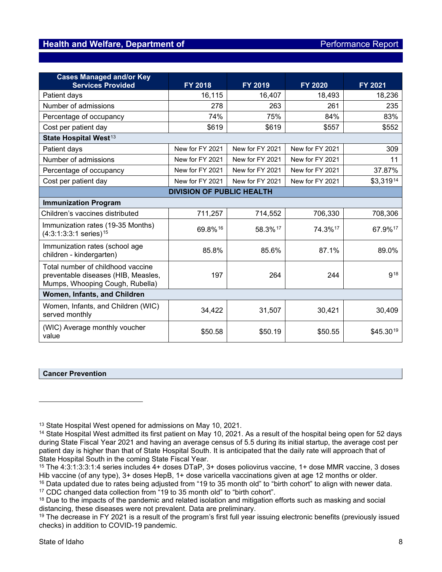| <b>Cases Managed and/or Key</b><br><b>Services Provided</b>                                                 | <b>FY 2018</b>  | FY 2019         | <b>FY 2020</b>  | FY 2021    |  |
|-------------------------------------------------------------------------------------------------------------|-----------------|-----------------|-----------------|------------|--|
| Patient days                                                                                                | 16,115          | 16,407          | 18,493          | 18,236     |  |
| Number of admissions                                                                                        | 278             | 263             | 261             | 235        |  |
| Percentage of occupancy                                                                                     | 74%             | 75%             | 84%             | 83%        |  |
| Cost per patient day                                                                                        | \$619           | \$619           | \$557           | \$552      |  |
| State Hospital West <sup>13</sup>                                                                           |                 |                 |                 |            |  |
| Patient days                                                                                                | New for FY 2021 | New for FY 2021 | New for FY 2021 | 309        |  |
| Number of admissions                                                                                        | New for FY 2021 | New for FY 2021 | New for FY 2021 | 11         |  |
| Percentage of occupancy                                                                                     | New for FY 2021 | New for FY 2021 | New for FY 2021 | 37.87%     |  |
| Cost per patient day                                                                                        | New for FY 2021 | New for FY 2021 | New for FY 2021 | \$3,31914  |  |
| <b>DIVISION OF PUBLIC HEALTH</b>                                                                            |                 |                 |                 |            |  |
| <b>Immunization Program</b>                                                                                 |                 |                 |                 |            |  |
| Children's vaccines distributed                                                                             | 711,257         | 714,552         | 706,330         | 708,306    |  |
| Immunization rates (19-35 Months)<br>$(4:3:1:3:3:1$ series) <sup>15</sup>                                   | 69.8%16         | 58.3%17         | 74.3%17         | 67.9%17    |  |
| Immunization rates (school age<br>children - kindergarten)                                                  | 85.8%           | 85.6%           | 87.1%           | 89.0%      |  |
| Total number of childhood vaccine<br>preventable diseases (HIB, Measles,<br>Mumps, Whooping Cough, Rubella) | 197             | 264             | 244             | <b>918</b> |  |
| Women, Infants, and Children                                                                                |                 |                 |                 |            |  |
| Women, Infants, and Children (WIC)<br>served monthly                                                        | 34,422          | 31,507          | 30,421          | 30,409     |  |
| (WIC) Average monthly voucher<br>value                                                                      | \$50.58         | \$50.19         | \$50.55         | \$45.3019  |  |

#### <span id="page-7-0"></span>**Cancer Prevention**

<span id="page-7-1"></span><sup>&</sup>lt;sup>13</sup> State Hospital West opened for admissions on May 10, 2021.

<span id="page-7-2"></span><sup>&</sup>lt;sup>14</sup> State Hospital West admitted its first patient on May 10, 2021. As a result of the hospital being open for 52 days during State Fiscal Year 2021 and having an average census of 5.5 during its initial startup, the average cost per patient day is higher than that of State Hospital South. It is anticipated that the daily rate will approach that of State Hospital South in the coming State Fiscal Year.

<span id="page-7-3"></span><sup>15</sup> The 4:3:1:3:3:1:4 series includes 4+ doses DTaP, 3+ doses poliovirus vaccine, 1+ dose MMR vaccine, 3 doses Hib vaccine (of any type), 3+ doses HepB, 1+ dose varicella vaccinations given at age 12 months or older.

<span id="page-7-5"></span><span id="page-7-4"></span><sup>&</sup>lt;sup>16</sup> Data updated due to rates being adjusted from "19 to 35 month old" to "birth cohort" to align with newer data. <sup>17</sup> CDC changed data collection from "19 to 35 month old" to "birth cohort".

<span id="page-7-6"></span><sup>&</sup>lt;sup>18</sup> Due to the impacts of the pandemic and related isolation and mitigation efforts such as masking and social distancing, these diseases were not prevalent. Data are preliminary.

<span id="page-7-7"></span><sup>&</sup>lt;sup>19</sup> The decrease in FY 2021 is a result of the program's first full year issuing electronic benefits (previously issued checks) in addition to COVID-19 pandemic.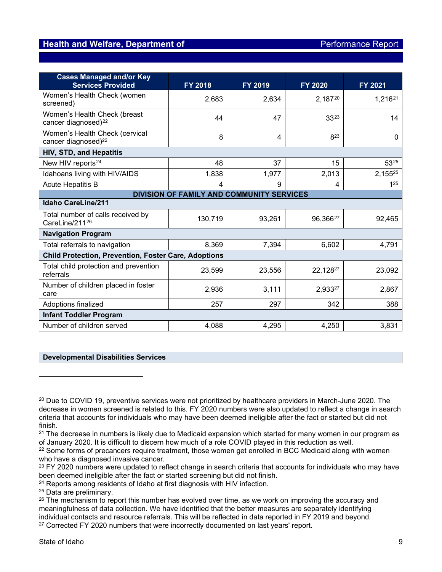<span id="page-8-2"></span><span id="page-8-1"></span><span id="page-8-0"></span>

| <b>Cases Managed and/or Key</b>                                   |                                                  |         |                |                     |
|-------------------------------------------------------------------|--------------------------------------------------|---------|----------------|---------------------|
| <b>Services Provided</b>                                          | FY 2018                                          | FY 2019 | <b>FY 2020</b> | FY 2021             |
| Women's Health Check (women<br>screened)                          | 2,683                                            | 2,634   | 2,18720        | 1,216 <sup>21</sup> |
| Women's Health Check (breast<br>cancer diagnosed) <sup>22</sup>   | 44                                               | 47      | 3323           | 14                  |
| Women's Health Check (cervical<br>cancer diagnosed) <sup>22</sup> | 8                                                | 4       | 823            | $\Omega$            |
| <b>HIV, STD, and Hepatitis</b>                                    |                                                  |         |                |                     |
| New HIV reports <sup>24</sup>                                     | 48                                               | 37      | 15             | 5325                |
| Idahoans living with HIV/AIDS                                     | 1,838                                            | 1,977   | 2,013          | 2,15525             |
| <b>Acute Hepatitis B</b>                                          | 4                                                | 9       | 4              | 1 <sup>25</sup>     |
|                                                                   | <b>DIVISION OF FAMILY AND COMMUNITY SERVICES</b> |         |                |                     |
| <b>Idaho CareLine/211</b>                                         |                                                  |         |                |                     |
| Total number of calls received by<br>CareLine/21126               | 130,719                                          | 93,261  | 96,36627       | 92,465              |
| <b>Navigation Program</b>                                         |                                                  |         |                |                     |
| Total referrals to navigation                                     | 8,369                                            | 7,394   | 6,602          | 4,791               |
| <b>Child Protection, Prevention, Foster Care, Adoptions</b>       |                                                  |         |                |                     |
| Total child protection and prevention<br>referrals                | 23,599                                           | 23,556  | 22,12827       | 23,092              |
| Number of children placed in foster<br>care                       | 2,936                                            | 3,111   | 2,93327        | 2,867               |
| Adoptions finalized                                               | 257                                              | 297     | 342            | 388                 |
| <b>Infant Toddler Program</b>                                     |                                                  |         |                |                     |
| Number of children served                                         | 4,088                                            | 4,295   | 4,250          | 3,831               |

#### <span id="page-8-3"></span>**Developmental Disabilities Services**

- <span id="page-8-7"></span><sup>23</sup> FY 2020 numbers were updated to reflect change in search criteria that accounts for individuals who may have been deemed ineligible after the fact or started screening but did not finish.
- <span id="page-8-8"></span><sup>24</sup> Reports among residents of Idaho at first diagnosis with HIV infection.

<span id="page-8-4"></span><sup>&</sup>lt;sup>20</sup> Due to COVID 19, preventive services were not prioritized by healthcare providers in March-June 2020. The decrease in women screened is related to this. FY 2020 numbers were also updated to reflect a change in search criteria that accounts for individuals who may have been deemed ineligible after the fact or started but did not finish.

<span id="page-8-5"></span> $21$  The decrease in numbers is likely due to Medicaid expansion which started for many women in our program as of January 2020. It is difficult to discern how much of a role COVID played in this reduction as well.

<span id="page-8-6"></span><sup>&</sup>lt;sup>22</sup> Some forms of precancers require treatment, those women get enrolled in BCC Medicaid along with women who have a diagnosed invasive cancer.

<span id="page-8-9"></span><sup>25</sup> Data are preliminary.

<span id="page-8-10"></span><sup>&</sup>lt;sup>26</sup> The mechanism to report this number has evolved over time, as we work on improving the accuracy and meaningfulness of data collection. We have identified that the better measures are separately identifying individual contacts and resource referrals. This will be reflected in data reported in FY 2019 and beyond.

<span id="page-8-11"></span><sup>&</sup>lt;sup>27</sup> Corrected FY 2020 numbers that were incorrectly documented on last years' report.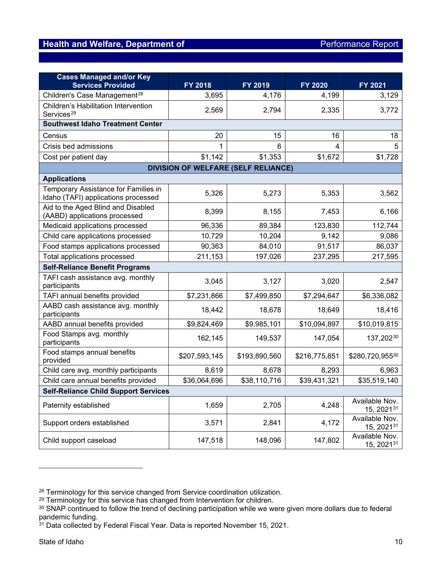| <b>Cases Managed and/or Key</b>                                             |                                            |               |               |                                          |
|-----------------------------------------------------------------------------|--------------------------------------------|---------------|---------------|------------------------------------------|
| <b>Services Provided</b>                                                    | FY 2018                                    | FY 2019       | FY 2020       | FY 2021                                  |
| Children's Case Management <sup>28</sup>                                    | 3,695                                      | 4,176         | 4,199         | 3,129                                    |
| Children's Habilitation Intervention                                        | 2,569                                      | 2,794         | 2,335         | 3,772                                    |
| Services <sup>29</sup>                                                      |                                            |               |               |                                          |
| <b>Southwest Idaho Treatment Center</b>                                     |                                            |               |               |                                          |
| Census                                                                      | 20                                         | 15            | 16            | 18                                       |
| Crisis bed admissions                                                       | 1                                          | 6             | 4             | 5                                        |
| Cost per patient day                                                        | \$1,142                                    | \$1,353       | \$1,672       | \$1,728                                  |
|                                                                             | <b>DIVISION OF WELFARE (SELF RELIANCE)</b> |               |               |                                          |
| <b>Applications</b>                                                         |                                            |               |               |                                          |
| Temporary Assistance for Families in<br>Idaho (TAFI) applications processed | 5,326                                      | 5,273         | 5,353         | 3,562                                    |
| Aid to the Aged Blind and Disabled<br>(AABD) applications processed         | 8,399                                      | 8,155         | 7,453         | 6,166                                    |
| Medicaid applications processed                                             | 96,336                                     | 89,384        | 123,830       | 112,744                                  |
| Child care applications processed                                           | 10,729                                     | 10,204        | 9,142         | 9,086                                    |
| Food stamps applications processed                                          | 90,363                                     | 84,010        | 91,517        | 86,037                                   |
| Total applications processed                                                | 211,153                                    | 197,026       | 237,295       | 217,595                                  |
| <b>Self-Reliance Benefit Programs</b>                                       |                                            |               |               |                                          |
| TAFI cash assistance avg. monthly<br>participants                           | 3,045                                      | 3,127         | 3,020         | 2,547                                    |
| TAFI annual benefits provided                                               | \$7,231,866                                | \$7,499,850   | \$7,294,647   | \$6,336,082                              |
| AABD cash assistance avg. monthly<br>participants                           | 18,442                                     | 18,678        | 18,649        | 18,416                                   |
| AABD annual benefits provided                                               | \$9,824,469                                | \$9,985,101   | \$10,094,897  | \$10,019,815                             |
| Food Stamps avg. monthly<br>participants                                    | 162,145                                    | 149,537       | 147,054       | 137,20230                                |
| Food stamps annual benefits<br>provided                                     | \$207,593,145                              | \$193,890,560 | \$216,775,851 | \$280,720,95530                          |
| Child care avg. monthly participants                                        | 8,619                                      | 8,678         | 8,293         | 6,963                                    |
| Child care annual benefits provided                                         | \$36,064,696                               | \$38,110,716  | \$39,431,321  | \$35,519,140                             |
| <b>Self-Reliance Child Support Services</b>                                 |                                            |               |               |                                          |
| Paternity established                                                       | 1,659                                      | 2,705         | 4,248         | Available Nov.<br>15, 2021 <sup>31</sup> |
| Support orders established                                                  | 3,571                                      | 2,841         | 4,172         | Available Nov.<br>15, 202131             |
| Child support caseload                                                      | 147,518                                    | 148,096       | 147,802       | Available Nov.<br>15, 202131             |

<span id="page-9-2"></span><span id="page-9-1"></span><span id="page-9-0"></span> $^\mathrm{28}$  Terminology for this service changed from Service coordination utilization.

 $^{29}$  Terminology for this service has changed from Intervention for children.

<span id="page-9-4"></span><span id="page-9-3"></span><sup>30</sup> SNAP continued to follow the trend of declining participation while we were given more dollars due to federal pandemic funding.

<span id="page-9-5"></span><sup>&</sup>lt;sup>31</sup> Data collected by Federal Fiscal Year. Data is reported November 15, 2021.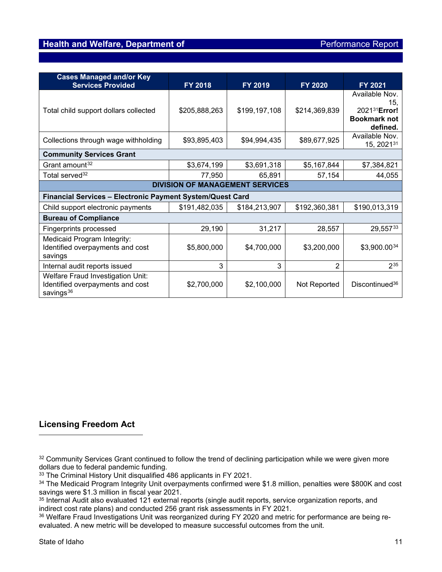<span id="page-10-0"></span>

| <b>Cases Managed and/or Key</b><br><b>Services Provided</b>                                    | FY 2018       | FY 2019       | FY 2020       | FY 2021                                                                  |  |
|------------------------------------------------------------------------------------------------|---------------|---------------|---------------|--------------------------------------------------------------------------|--|
| Total child support dollars collected                                                          | \$205,888,263 | \$199,197,108 | \$214,369,839 | Available Nov.<br>15,<br>202131Error!<br><b>Bookmark not</b><br>defined. |  |
| Collections through wage withholding                                                           | \$93,895,403  | \$94,994,435  | \$89,677,925  | Available Nov.<br>15, 202131                                             |  |
| <b>Community Services Grant</b>                                                                |               |               |               |                                                                          |  |
| Grant amount <sup>32</sup>                                                                     | \$3,674,199   | \$3,691,318   | \$5,167,844   | \$7,384,821                                                              |  |
| Total served <sup>32</sup>                                                                     | 77,950        | 65,891        | 57,154        | 44,055                                                                   |  |
| <b>DIVISION OF MANAGEMENT SERVICES</b>                                                         |               |               |               |                                                                          |  |
| <b>Financial Services - Electronic Payment System/Quest Card</b>                               |               |               |               |                                                                          |  |
| Child support electronic payments                                                              | \$191,482,035 | \$184,213,907 | \$192,360,381 | \$190,013,319                                                            |  |
| <b>Bureau of Compliance</b>                                                                    |               |               |               |                                                                          |  |
| <b>Fingerprints processed</b>                                                                  | 29,190        | 31,217        | 28,557        | 29,55733                                                                 |  |
| Medicaid Program Integrity:<br>Identified overpayments and cost<br>savings                     | \$5,800,000   | \$4,700,000   | \$3,200,000   | \$3,900.0034                                                             |  |
| Internal audit reports issued                                                                  | 3             | 3             | 2             | $2^{35}$                                                                 |  |
| Welfare Fraud Investigation Unit:<br>Identified overpayments and cost<br>savings <sup>36</sup> | \$2,700,000   | \$2,100,000   | Not Reported  | Discontinued <sup>36</sup>                                               |  |

## <span id="page-10-1"></span>**Licensing Freedom Act**

<span id="page-10-2"></span>32 Community Services Grant continued to follow the trend of declining participation while we were given more dollars due to federal pandemic funding.

<span id="page-10-3"></span><sup>33</sup> The Criminal History Unit disqualified 486 applicants in FY 2021.

<span id="page-10-5"></span>35 Internal Audit also evaluated 121 external reports (single audit reports, service organization reports, and indirect cost rate plans) and conducted 256 grant risk assessments in FY 2021.

<span id="page-10-6"></span><sup>36</sup> Welfare Fraud Investigations Unit was reorganized during FY 2020 and metric for performance are being reevaluated. A new metric will be developed to measure successful outcomes from the unit.

<span id="page-10-4"></span><sup>34</sup> The Medicaid Program Integrity Unit overpayments confirmed were \$1.8 million, penalties were \$800K and cost savings were \$1.3 million in fiscal year 2021.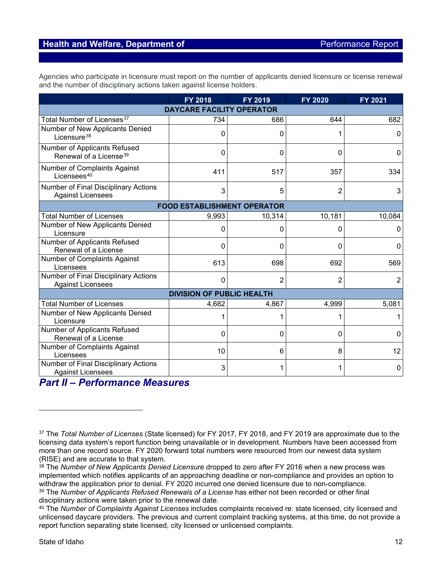Agencies who participate in licensure must report on the number of applicants denied licensure or license renewal and the number of disciplinary actions taken against license holders.

|                                                                    | FY 2018                            | FY 2019  | <b>FY 2020</b> | FY 2021 |
|--------------------------------------------------------------------|------------------------------------|----------|----------------|---------|
|                                                                    | <b>DAYCARE FACILITY OPERATOR</b>   |          |                |         |
| Total Number of Licenses <sup>37</sup>                             | 734                                | 686      | 644            | 682     |
| Number of New Applicants Denied<br>Licensure <sup>38</sup>         | $\Omega$                           | 0        |                | 0       |
| Number of Applicants Refused<br>Renewal of a License <sup>39</sup> | 0                                  | 0        | 0              | 0       |
| Number of Complaints Against<br>Licensees <sup>40</sup>            | 411                                | 517      | 357            | 334     |
| Number of Final Disciplinary Actions<br><b>Against Licensees</b>   | 3                                  | 5        | $\overline{2}$ | 3       |
|                                                                    | <b>FOOD ESTABLISHMENT OPERATOR</b> |          |                |         |
| <b>Total Number of Licenses</b>                                    | 9,993                              | 10,314   | 10,181         | 10,084  |
| Number of New Applicants Denied<br>Licensure                       | $\mathbf{0}$                       | 0        | 0              | 0       |
| Number of Applicants Refused<br>Renewal of a License               | $\Omega$                           | $\Omega$ | 0              | 0       |
| Number of Complaints Against<br>Licensees                          | 613                                | 698      | 692            | 569     |
| Number of Final Disciplinary Actions<br><b>Against Licensees</b>   | $\Omega$                           | 2        | 2              | 2       |
|                                                                    | <b>DIVISION OF PUBLIC HEALTH</b>   |          |                |         |
| <b>Total Number of Licenses</b>                                    | 4,682                              | 4,867    | 4,999          | 5,081   |
| Number of New Applicants Denied<br>Licensure                       |                                    |          |                |         |
| Number of Applicants Refused<br>Renewal of a License               | 0                                  | 0        | 0              | 0       |
| Number of Complaints Against<br>Licensees                          | 10                                 | 6        | 8              | 12      |
| Number of Final Disciplinary Actions<br><b>Against Licensees</b>   | 3                                  | 1        | 1              | 0       |

# *Part II – Performance Measures*

<span id="page-11-0"></span><sup>37</sup> The *Total Number of Licenses* (State licensed) for FY 2017, FY 2018, and FY 2019 are approximate due to the licensing data system's report function being unavailable or in development. Numbers have been accessed from more than one record source. FY 2020 forward total numbers were resourced from our newest data system (RISE) and are accurate to that system.

<span id="page-11-1"></span><sup>&</sup>lt;sup>38</sup> The *Number of New Applicants Denied Licensure* dropped to zero after FY 2016 when a new process was implemented which notifies applicants of an approaching deadline or non-compliance and provides an option to withdraw the application prior to denial. FY 2020 incurred one denied licensure due to non-compliance.

<span id="page-11-2"></span><sup>39</sup> The *Number of Applicants Refused Renewals of a License* has either not been recorded or other final disciplinary actions were taken prior to the renewal date.

<span id="page-11-3"></span><sup>40</sup> The *Number of Complaints Against Licenses* includes complaints received re: state licensed, city licensed and unlicensed daycare providers. The previous and current complaint tracking systems, at this time, do not provide a report function separating state licensed, city licensed or unlicensed complaints.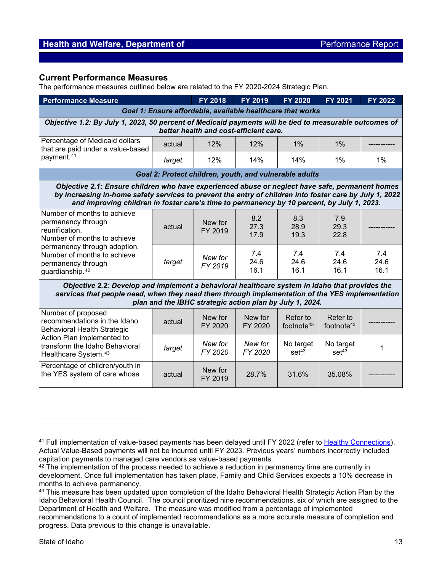#### **Current Performance Measures**

The performance measures outlined below are related to the FY 2020-2024 Strategic Plan.

| <b>Performance Measure</b>                                                                                                                                                                                                                                                                               | FY 2018                                                                                                                                                                                                                                                       | <b>FY 2019</b>     | <b>FY 2020</b>      | <b>FY 2021</b>                 | FY 2022                        |                     |  |  |  |
|----------------------------------------------------------------------------------------------------------------------------------------------------------------------------------------------------------------------------------------------------------------------------------------------------------|---------------------------------------------------------------------------------------------------------------------------------------------------------------------------------------------------------------------------------------------------------------|--------------------|---------------------|--------------------------------|--------------------------------|---------------------|--|--|--|
| Goal 1: Ensure affordable, available healthcare that works                                                                                                                                                                                                                                               |                                                                                                                                                                                                                                                               |                    |                     |                                |                                |                     |  |  |  |
| Objective 1.2: By July 1, 2023, 50 percent of Medicaid payments will be tied to measurable outcomes of<br>better health and cost-efficient care.                                                                                                                                                         |                                                                                                                                                                                                                                                               |                    |                     |                                |                                |                     |  |  |  |
| Percentage of Medicaid dollars<br>that are paid under a value-based                                                                                                                                                                                                                                      | actual                                                                                                                                                                                                                                                        | 12%                | 12%                 | 1%                             | 1%                             |                     |  |  |  |
| payment. <sup>41</sup>                                                                                                                                                                                                                                                                                   | target                                                                                                                                                                                                                                                        | 12%                | 14%                 | 14%                            | $1\%$                          | $1\%$               |  |  |  |
|                                                                                                                                                                                                                                                                                                          | Goal 2: Protect children, youth, and vulnerable adults                                                                                                                                                                                                        |                    |                     |                                |                                |                     |  |  |  |
| Objective 2.1: Ensure children who have experienced abuse or neglect have safe, permanent homes<br>by increasing in-home safety services to prevent the entry of children into foster care by July 1, 2022<br>and improving children in foster care's time to permanency by 10 percent, by July 1, 2023. |                                                                                                                                                                                                                                                               |                    |                     |                                |                                |                     |  |  |  |
| Number of months to achieve<br>permanency through<br>reunification.<br>Number of months to achieve<br>permanency through adoption.<br>Number of months to achieve<br>permanency through<br>guardianship. <sup>42</sup>                                                                                   | actual                                                                                                                                                                                                                                                        | New for<br>FY 2019 | 8.2<br>27.3<br>17.9 | 8.3<br>28.9<br>19.3            | 7.9<br>29.3<br>22.8            |                     |  |  |  |
|                                                                                                                                                                                                                                                                                                          | target                                                                                                                                                                                                                                                        | New for<br>FY 2019 | 7.4<br>24.6<br>16.1 | 7.4<br>24.6<br>16.1            | 7.4<br>24.6<br>16.1            | 7.4<br>24.6<br>16.1 |  |  |  |
|                                                                                                                                                                                                                                                                                                          | Objective 2.2: Develop and implement a behavioral healthcare system in Idaho that provides the<br>services that people need, when they need them through implementation of the YES implementation<br>plan and the IBHC strategic action plan by July 1, 2024. |                    |                     |                                |                                |                     |  |  |  |
| Number of proposed<br>recommendations in the Idaho<br><b>Behavioral Health Strategic</b><br>Action Plan implemented to<br>transform the Idaho Behavioral<br>Healthcare System. <sup>43</sup>                                                                                                             | actual                                                                                                                                                                                                                                                        | New for<br>FY 2020 | New for<br>FY 2020  | Refer to<br>footnote $43$      | Refer to<br>footnote $43$      |                     |  |  |  |
|                                                                                                                                                                                                                                                                                                          | target                                                                                                                                                                                                                                                        | New for<br>FY 2020 | New for<br>FY 2020  | No target<br>set <sup>43</sup> | No target<br>set <sup>43</sup> | 1                   |  |  |  |
| Percentage of children/youth in<br>the YES system of care whose                                                                                                                                                                                                                                          | actual                                                                                                                                                                                                                                                        | New for<br>FY 2019 | 28.7%               | 31.6%                          | 35.08%                         |                     |  |  |  |

<span id="page-12-1"></span><span id="page-12-0"></span><sup>41</sup> Full implementation of value-based payments has been delayed until FY 2022 (refer to Healthy [Connections\)](http://healthandwelfare.idaho.gov/Default.aspx?TabId=216). Actual Value-Based payments will not be incurred until FY 2023. Previous years' numbers incorrectly included capitation payments to managed care vendors as value-based payments.

<span id="page-12-2"></span><sup>&</sup>lt;sup>42</sup> The implementation of the process needed to achieve a reduction in permanency time are currently in development. Once full implementation has taken place, Family and Child Services expects a 10% decrease in months to achieve permanency.

<span id="page-12-3"></span><sup>&</sup>lt;sup>43</sup> This measure has been updated upon completion of the Idaho Behavioral Health Strategic Action Plan by the Idaho Behavioral Health Council. The council prioritized nine recommendations, six of which are assigned to the Department of Health and Welfare. The measure was modified from a percentage of implemented recommendations to a count of implemented recommendations as a more accurate measure of completion and progress. Data previous to this change is unavailable.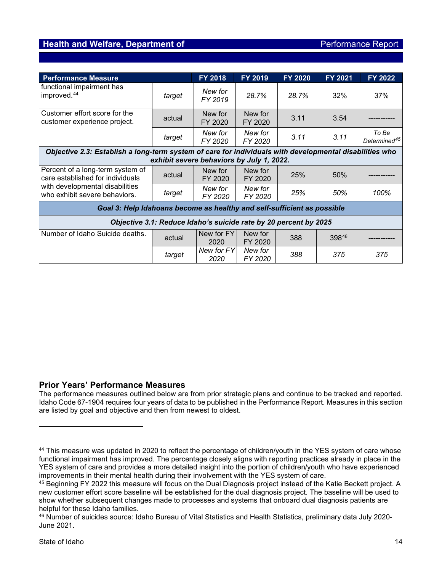| <b>Performance Measure</b>                                                                                                                           |                                                                  | <b>FY 2018</b>     | FY 2019            | FY 2020 | <b>FY 2021</b> | <b>FY 2022</b>                    |  |  |
|------------------------------------------------------------------------------------------------------------------------------------------------------|------------------------------------------------------------------|--------------------|--------------------|---------|----------------|-----------------------------------|--|--|
| functional impairment has<br>improved. <sup>44</sup>                                                                                                 | target                                                           | New for<br>FY 2019 | 28.7%              | 28.7%   | 32%            | 37%                               |  |  |
| Customer effort score for the<br>customer experience project.                                                                                        | actual                                                           | New for<br>FY 2020 | New for<br>FY 2020 | 3.11    | 3.54           |                                   |  |  |
|                                                                                                                                                      | target                                                           | New for<br>FY 2020 | New for<br>FY 2020 | 3.11    | 3.11           | To Be<br>Determined <sup>45</sup> |  |  |
| Objective 2.3: Establish a long-term system of care for individuals with developmental disabilities who<br>exhibit severe behaviors by July 1, 2022. |                                                                  |                    |                    |         |                |                                   |  |  |
| Percent of a long-term system of<br>care established for individuals                                                                                 | actual                                                           | New for<br>FY 2020 | New for<br>FY 2020 | 25%     | 50%            |                                   |  |  |
| with developmental disabilities<br>who exhibit severe behaviors.                                                                                     | target                                                           | New for<br>FY 2020 | New for<br>FY 2020 | 25%     | 50%            | 100%                              |  |  |
| Goal 3: Help Idahoans become as healthy and self-sufficient as possible                                                                              |                                                                  |                    |                    |         |                |                                   |  |  |
|                                                                                                                                                      | Objective 3.1: Reduce Idaho's suicide rate by 20 percent by 2025 |                    |                    |         |                |                                   |  |  |
| Number of Idaho Suicide deaths.                                                                                                                      | actual                                                           | New for FY<br>2020 | New for<br>FY 2020 | 388     | 39846          |                                   |  |  |
|                                                                                                                                                      | target                                                           | New for FY<br>2020 | New for<br>FY 2020 | 388     | 375            | 375                               |  |  |

#### **Prior Years' Performance Measures**

The performance measures outlined below are from prior strategic plans and continue to be tracked and reported. Idaho Code 67-1904 requires four years of data to be published in the Performance Report. Measures in this section are listed by goal and objective and then from newest to oldest.

<span id="page-13-0"></span><sup>44</sup> This measure was updated in 2020 to reflect the percentage of children/youth in the YES system of care whose functional impairment has improved. The percentage closely aligns with reporting practices already in place in the YES system of care and provides a more detailed insight into the portion of children/youth who have experienced improvements in their mental health during their involvement with the YES system of care.

<span id="page-13-1"></span><sup>45</sup> Beginning FY 2022 this measure will focus on the Dual Diagnosis project instead of the Katie Beckett project. A new customer effort score baseline will be established for the dual diagnosis project. The baseline will be used to show whether subsequent changes made to processes and systems that onboard dual diagnosis patients are helpful for these Idaho families.

<span id="page-13-2"></span><sup>46</sup> Number of suicides source: Idaho Bureau of Vital Statistics and Health Statistics, preliminary data July 2020- June 2021.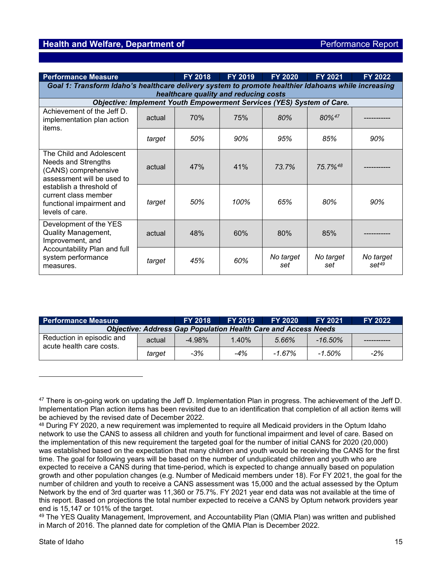| <b>Performance Measure</b>                                                                                                                                                                                |        | <b>FY 2018</b>                                                        | FY 2019 | <b>FY 2020</b>   | <b>FY 2021</b>   | <b>FY 2022</b>          |  |
|-----------------------------------------------------------------------------------------------------------------------------------------------------------------------------------------------------------|--------|-----------------------------------------------------------------------|---------|------------------|------------------|-------------------------|--|
| Goal 1: Transform Idaho's healthcare delivery system to promote healthier Idahoans while increasing<br>healthcare quality and reducing costs                                                              |        |                                                                       |         |                  |                  |                         |  |
|                                                                                                                                                                                                           |        | Objective: Implement Youth Empowerment Services (YES) System of Care. |         |                  |                  |                         |  |
| Achievement of the Jeff D.<br>implementation plan action<br>items.                                                                                                                                        | actual | 70%                                                                   | 75%     | 80%              | 80%47            |                         |  |
|                                                                                                                                                                                                           | target | 50%                                                                   | 90%     | 95%              | 85%              | 90%                     |  |
| The Child and Adolescent<br>Needs and Strengths<br>(CANS) comprehensive<br>assessment will be used to<br>establish a threshold of<br>current class member<br>functional impairment and<br>levels of care. | actual | 47%                                                                   | 41%     | 73.7%            | 75.7%48          |                         |  |
|                                                                                                                                                                                                           | target | 50%                                                                   | 100%    | 65%              | 80%              | 90%                     |  |
| Development of the YES<br><b>Quality Management,</b><br>Improvement, and<br>Accountability Plan and full<br>system performance<br>measures.                                                               | actual | 48%                                                                   | 60%     | 80%              | 85%              |                         |  |
|                                                                                                                                                                                                           | target | 45%                                                                   | 60%     | No target<br>set | No target<br>set | No target<br>$set^{49}$ |  |

| <b>Performance Measure</b>                            |        | <b>FY 2018</b>                                                        | <b>FY 2019</b> | <b>FY 2020</b> | <b>FY 2021</b> | <b>FY 2022</b> |
|-------------------------------------------------------|--------|-----------------------------------------------------------------------|----------------|----------------|----------------|----------------|
|                                                       |        | <b>Objective: Address Gap Population Health Care and Access Needs</b> |                |                |                |                |
| Reduction in episodic and<br>acute health care costs. | actual | $-4.98\%$                                                             | 1.40%          | 5.66%          | $-16.50\%$     |                |
|                                                       | target | $-3%$                                                                 | -4%            | $-1.67\%$      | $-1.50\%$      | $-2%$          |

<span id="page-14-0"></span><sup>&</sup>lt;sup>47</sup> There is on-going work on updating the Jeff D. Implementation Plan in progress. The achievement of the Jeff D. Implementation Plan action items has been revisited due to an identification that completion of all action items will be achieved by the revised date of December 2022.

<span id="page-14-1"></span><sup>48</sup> During FY 2020, a new requirement was implemented to require all Medicaid providers in the Optum Idaho network to use the CANS to assess all children and youth for functional impairment and level of care. Based on the implementation of this new requirement the targeted goal for the number of initial CANS for 2020 (20,000) was established based on the expectation that many children and youth would be receiving the CANS for the first time. The goal for following years will be based on the number of unduplicated children and youth who are expected to receive a CANS during that time-period, which is expected to change annually based on population growth and other population changes (e.g. Number of Medicaid members under 18). For FY 2021, the goal for the number of children and youth to receive a CANS assessment was 15,000 and the actual assessed by the Optum Network by the end of 3rd quarter was 11,360 or 75.7%. FY 2021 year end data was not available at the time of this report. Based on projections the total number expected to receive a CANS by Optum network providers year end is 15,147 or 101% of the target.

<span id="page-14-2"></span><sup>49</sup> The YES Quality Management, Improvement, and Accountability Plan (QMIA Plan) was written and published in March of 2016. The planned date for completion of the QMIA Plan is December 2022.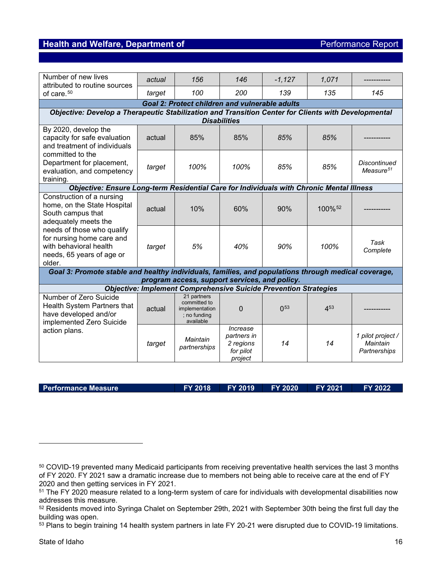| Number of new lives<br>attributed to routine sources                                                                                                                                                                              | actual | 156                                                                               | 146                                                          | $-1,127$       | 1,071              |                                               |  |  |
|-----------------------------------------------------------------------------------------------------------------------------------------------------------------------------------------------------------------------------------|--------|-----------------------------------------------------------------------------------|--------------------------------------------------------------|----------------|--------------------|-----------------------------------------------|--|--|
| of care. <sup>50</sup>                                                                                                                                                                                                            | target | 100                                                                               | 200                                                          | 139            | 135                | 145                                           |  |  |
|                                                                                                                                                                                                                                   |        | <b>Goal 2: Protect children and vulnerable adults</b>                             |                                                              |                |                    |                                               |  |  |
| Objective: Develop a Therapeutic Stabilization and Transition Center for Clients with Developmental                                                                                                                               |        |                                                                                   |                                                              |                |                    |                                               |  |  |
|                                                                                                                                                                                                                                   |        |                                                                                   | <b>Disabilities</b>                                          |                |                    |                                               |  |  |
| By 2020, develop the<br>capacity for safe evaluation<br>and treatment of individuals                                                                                                                                              | actual | 85%                                                                               | 85%                                                          | 85%            | 85%                |                                               |  |  |
| committed to the<br>Department for placement,<br>evaluation, and competency<br>training.                                                                                                                                          | target | 100%                                                                              | 100%                                                         | 85%            | 85%                | <b>Discontinued</b><br>Measure <sup>51</sup>  |  |  |
| Objective: Ensure Long-term Residential Care for Individuals with Chronic Mental Illness                                                                                                                                          |        |                                                                                   |                                                              |                |                    |                                               |  |  |
| Construction of a nursing<br>home, on the State Hospital<br>South campus that<br>adequately meets the<br>needs of those who qualify<br>for nursing home care and<br>with behavioral health<br>needs, 65 years of age or<br>older. | actual | 10%                                                                               | 60%                                                          | 90%            | 100% <sup>52</sup> |                                               |  |  |
|                                                                                                                                                                                                                                   | target | 5%                                                                                | 40%                                                          | 90%            | 100%               | Task<br>Complete                              |  |  |
| Goal 3: Promote stable and healthy individuals, families, and populations through medical coverage,                                                                                                                               |        |                                                                                   |                                                              |                |                    |                                               |  |  |
|                                                                                                                                                                                                                                   |        | program access, support services, and policy.                                     |                                                              |                |                    |                                               |  |  |
|                                                                                                                                                                                                                                   |        | <b>Objective: Implement Comprehensive Suicide Prevention Strategies</b>           |                                                              |                |                    |                                               |  |  |
| Number of Zero Suicide<br>Health System Partners that<br>have developed and/or<br>implemented Zero Suicide                                                                                                                        | actual | 21 partners<br>committed to<br><i>implementation</i><br>; no funding<br>available | $\Omega$                                                     | $\bigcap_{53}$ | 4 <sup>53</sup>    |                                               |  |  |
| action plans.                                                                                                                                                                                                                     | target | Maintain<br>partnerships                                                          | Increase<br>partners in<br>2 regions<br>for pilot<br>project | 14             | 14                 | 1 pilot project /<br>Maintain<br>Partnerships |  |  |

**Performance Measure FY 2018 FY 2019 FY 2020 FY 2021 FY 2022**

<span id="page-15-0"></span>

<span id="page-15-1"></span><sup>50</sup> COVID-19 prevented many Medicaid participants from receiving preventative health services the last 3 months of FY 2020. FY 2021 saw a dramatic increase due to members not being able to receive care at the end of FY 2020 and then getting services in FY 2021.

<span id="page-15-2"></span><sup>51</sup> The FY 2020 measure related to a long-term system of care for individuals with developmental disabilities now addresses this measure.

<span id="page-15-3"></span><sup>52</sup> Residents moved into Syringa Chalet on September 29th, 2021 with September 30th being the first full day the building was open.

<span id="page-15-4"></span><sup>53</sup> Plans to begin training 14 health system partners in late FY 20-21 were disrupted due to COVID-19 limitations.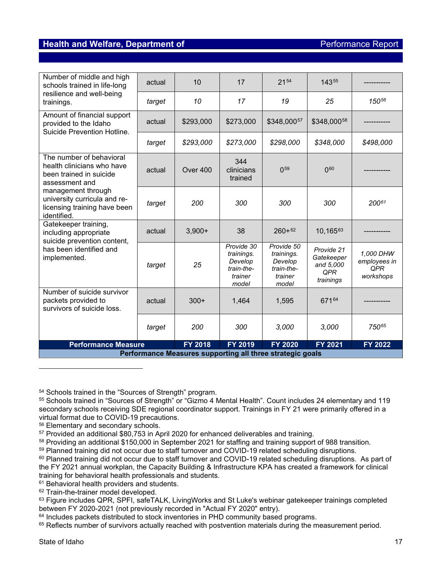| Number of middle and high<br>schools trained in life-long                                           | actual | 10             | 17                                                                    | 2154                                                                  | 14355                                                     |                                               |  |
|-----------------------------------------------------------------------------------------------------|--------|----------------|-----------------------------------------------------------------------|-----------------------------------------------------------------------|-----------------------------------------------------------|-----------------------------------------------|--|
| resilience and well-being<br>trainings.                                                             | target | 10             | 17                                                                    | 19                                                                    | 25                                                        | 15056                                         |  |
| Amount of financial support<br>provided to the Idaho<br>Suicide Prevention Hotline.                 | actual | \$293,000      | \$273,000                                                             | \$348,00057                                                           | \$348,00058                                               |                                               |  |
|                                                                                                     | target | \$293,000      | \$273,000                                                             | \$298,000                                                             | \$348,000                                                 | \$498,000                                     |  |
| The number of behavioral<br>health clinicians who have<br>been trained in suicide<br>assessment and | actual | Over 400       | 344<br>clinicians<br>trained                                          | 0 <sup>59</sup>                                                       | 0 <sup>60</sup>                                           |                                               |  |
| management through<br>university curricula and re-<br>licensing training have been<br>identified.   | target | 200            | 300                                                                   | 300                                                                   | 300                                                       | 20061                                         |  |
| Gatekeeper training,<br>including appropriate                                                       | actual | $3,900+$       | 38                                                                    | $260+62$                                                              | 10,16563                                                  |                                               |  |
| suicide prevention content,<br>has been identified and<br>implemented.                              | target | 25             | Provide 30<br>trainings.<br>Develop<br>train-the-<br>trainer<br>model | Provide 50<br>trainings.<br>Develop<br>train-the-<br>trainer<br>model | Provide 21<br>Gatekeeper<br>and 5.000<br>QPR<br>trainings | 1,000 DHW<br>employees in<br>QPR<br>workshops |  |
| Number of suicide survivor<br>packets provided to<br>survivors of suicide loss.                     | actual | $300+$         | 1,464                                                                 | 1,595                                                                 | 67164                                                     |                                               |  |
|                                                                                                     | target | 200            | 300                                                                   | 3,000                                                                 | 3,000                                                     | 75065                                         |  |
| <b>Performance Measure</b>                                                                          |        | <b>FY 2018</b> | <b>FY 2019</b>                                                        | <b>FY 2020</b>                                                        | FY 2021                                                   | FY 2022                                       |  |
| Performance Measures supporting all three strategic goals                                           |        |                |                                                                       |                                                                       |                                                           |                                               |  |

<span id="page-16-0"></span><sup>54</sup> Schools trained in the "Sources of Strength" program.

<span id="page-16-2"></span>56 Elementary and secondary schools.

<span id="page-16-3"></span> $57$  Provided an additional \$80,753 in April 2020 for enhanced deliverables and training.

<span id="page-16-4"></span><sup>58</sup> Providing an additional \$150,000 in September 2021 for staffing and training support of 988 transition.

<span id="page-16-5"></span><sup>59</sup> Planned training did not occur due to staff turnover and COVID-19 related scheduling disruptions.

<span id="page-16-7"></span><sup>61</sup> Behavioral health providers and students.

<span id="page-16-8"></span><sup>62</sup> Train-the-trainer model developed.

<span id="page-16-10"></span> $64$  Includes packets distributed to stock inventories in PHD community based programs.

<span id="page-16-11"></span><sup>65</sup> Reflects number of survivors actually reached with postvention materials during the measurement period.

<span id="page-16-1"></span><sup>55</sup> Schools trained in "Sources of Strength" or "Gizmo 4 Mental Health". Count includes 24 elementary and 119 secondary schools receiving SDE regional coordinator support. Trainings in FY 21 were primarily offered in a virtual format due to COVID-19 precautions.

<span id="page-16-6"></span><sup>&</sup>lt;sup>60</sup> Planned training did not occur due to staff turnover and COVID-19 related scheduling disruptions. As part of the FY 2021 annual workplan, the Capacity Building & Infrastructure KPA has created a framework for clinical training for behavioral health professionals and students.

<span id="page-16-9"></span><sup>63</sup> Figure includes QPR, SPFI, safeTALK, LivingWorks and St Luke's webinar gatekeeper trainings completed between FY 2020-2021 (not previously recorded in "Actual FY 2020" entry).